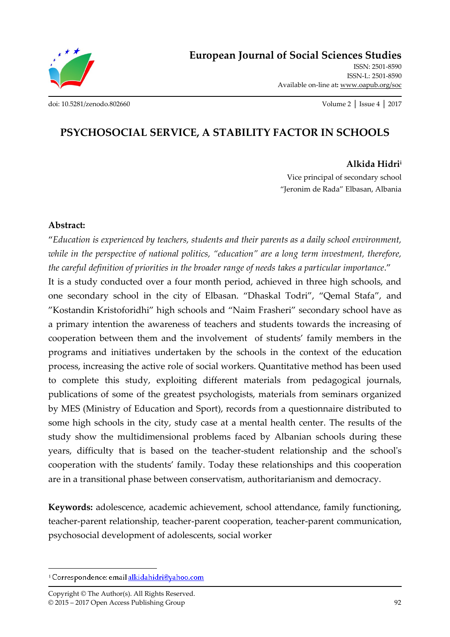

ISSN: 2501-8590 ISSN-L: 2501-8590 Available on-line at**:** www.oapub.org/soc

[doi: 10.5281/zenodo.802660](http://dx.doi.org/10.5281/zenodo.802660) Volume 2 │ Issue 4 │ 2017

# **PSYCHOSOCIAL SERVICE, A STABILITY FACTOR IN SCHOOLS**

#### **Alkida Hidri<sup>i</sup>**

Vice principal of secondary school "Jeronim de Rada" Elbasan, Albania

#### **Abstract:**

"*Education is experienced by teachers, students and their parents as a daily school environment, while in the perspective of national politics, "education" are a long term investment, therefore, the careful definition of priorities in the broader range of needs takes a particular importance*."

It is a study conducted over a four month period, achieved in three high schools, and one secondary school in the city of Elbasan. "Dhaskal Todri", "Qemal Stafa", and "Kostandin Kristoforidhi" high schools and "Naim Frasheri" secondary school have as a primary intention the awareness of teachers and students towards the increasing of cooperation between them and the involvement of students' family members in the programs and initiatives undertaken by the schools in the context of the education process, increasing the active role of social workers. Quantitative method has been used to complete this study, exploiting different materials from pedagogical journals, publications of some of the greatest psychologists, materials from seminars organized by MES (Ministry of Education and Sport), records from a questionnaire distributed to some high schools in the city, study case at a mental health center. The results of the study show the multidimensional problems faced by Albanian schools during these years, difficulty that is based on the teacher-student relationship and the school's cooperation with the students' family. Today these relationships and this cooperation are in a transitional phase between conservatism, authoritarianism and democracy.

**Keywords:** adolescence, academic achievement, school attendance, family functioning, teacher-parent relationship, teacher-parent cooperation, teacher-parent communication, psychosocial development of adolescents, social worker

 $\overline{a}$ 

<sup>&</sup>lt;sup>1</sup> Correspondence: email alkidahidri@yahoo.com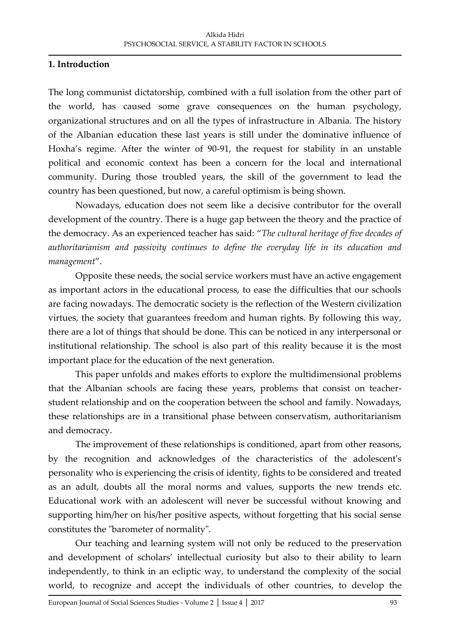### **1. Introduction**

The long communist dictatorship, combined with a full isolation from the other part of the world, has caused some grave consequences on the human psychology, organizational structures and on all the types of infrastructure in Albania. The history of the Albanian education these last years is still under the dominative influence of Hoxha's regime. After the winter of 90-91, the request for stability in an unstable political and economic context has been a concern for the local and international community. During those troubled years, the skill of the government to lead the country has been questioned, but now, a careful optimism is being shown.

Nowadays, education does not seem like a decisive contributor for the overall development of the country. There is a huge gap between the theory and the practice of the democracy. As an experienced teacher has said: "*The cultural heritage of five decades of authoritarianism and passivity continues to define the everyday life in its education and management*".

Opposite these needs, the social service workers must have an active engagement as important actors in the educational process, to ease the difficulties that our schools are facing nowadays. The democratic society is the reflection of the Western civilization virtues, the society that guarantees freedom and human rights. By following this way, there are a lot of things that should be done. This can be noticed in any interpersonal or institutional relationship. The school is also part of this reality because it is the most important place for the education of the next generation.

This paper unfolds and makes efforts to explore the multidimensional problems that the Albanian schools are facing these years, problems that consist on teacherstudent relationship and on the cooperation between the school and family. Nowadays, these relationships are in a transitional phase between conservatism, authoritarianism and democracy.

The improvement of these relationships is conditioned, apart from other reasons, by the recognition and acknowledges of the characteristics of the adolescent's personality who is experiencing the crisis of identity, fights to be considered and treated as an adult, doubts all the moral norms and values, supports the new trends etc. Educational work with an adolescent will never be successful without knowing and supporting him/her on his/her positive aspects, without forgetting that his social sense constitutes the "barometer of normality".

Our teaching and learning system will not only be reduced to the preservation and development of scholars' intellectual curiosity but also to their ability to learn independently, to think in an ecliptic way, to understand the complexity of the social world, to recognize and accept the individuals of other countries, to develop the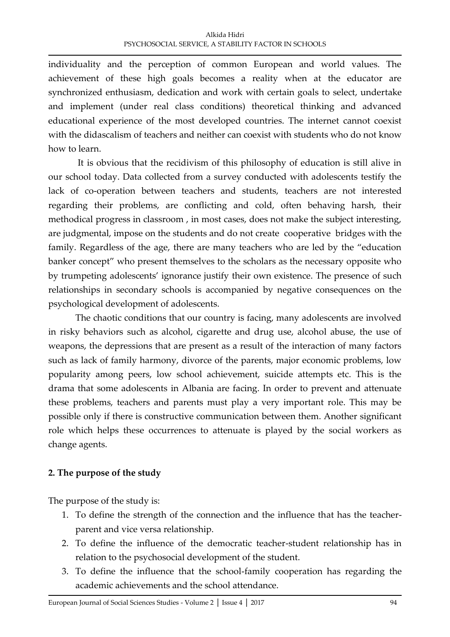individuality and the perception of common European and world values. The achievement of these high goals becomes a reality when at the educator are synchronized enthusiasm, dedication and work with certain goals to select, undertake and implement (under real class conditions) theoretical thinking and advanced educational experience of the most developed countries. The internet cannot coexist with the didascalism of teachers and neither can coexist with students who do not know how to learn.

It is obvious that the recidivism of this philosophy of education is still alive in our school today. Data collected from a survey conducted with adolescents testify the lack of co-operation between teachers and students, teachers are not interested regarding their problems, are conflicting and cold, often behaving harsh, their methodical progress in classroom , in most cases, does not make the subject interesting, are judgmental, impose on the students and do not create cooperative bridges with the family. Regardless of the age, there are many teachers who are led by the "education banker concept" who present themselves to the scholars as the necessary opposite who by trumpeting adolescents' ignorance justify their own existence. The presence of such relationships in secondary schools is accompanied by negative consequences on the psychological development of adolescents.

The chaotic conditions that our country is facing, many adolescents are involved in risky behaviors such as alcohol, cigarette and drug use, alcohol abuse, the use of weapons, the depressions that are present as a result of the interaction of many factors such as lack of family harmony, divorce of the parents, major economic problems, low popularity among peers, low school achievement, suicide attempts etc. This is the drama that some adolescents in Albania are facing. In order to prevent and attenuate these problems, teachers and parents must play a very important role. This may be possible only if there is constructive communication between them. Another significant role which helps these occurrences to attenuate is played by the social workers as change agents.

## **2. The purpose of the study**

The purpose of the study is:

- 1. To define the strength of the connection and the influence that has the teacherparent and vice versa relationship.
- 2. To define the influence of the democratic teacher-student relationship has in relation to the psychosocial development of the student.
- 3. To define the influence that the school-family cooperation has regarding the academic achievements and the school attendance.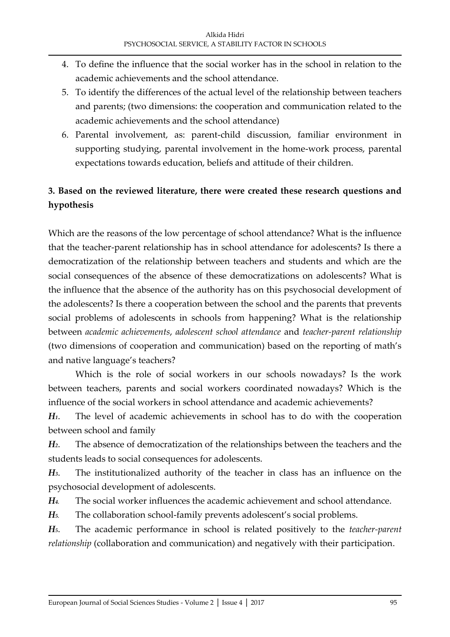- 4. To define the influence that the social worker has in the school in relation to the academic achievements and the school attendance.
- 5. To identify the differences of the actual level of the relationship between teachers and parents; (two dimensions: the cooperation and communication related to the academic achievements and the school attendance)
- 6. Parental involvement, as: parent-child discussion, familiar environment in supporting studying, parental involvement in the home-work process, parental expectations towards education, beliefs and attitude of their children.

# **3. Based on the reviewed literature, there were created these research questions and hypothesis**

Which are the reasons of the low percentage of school attendance? What is the influence that the teacher-parent relationship has in school attendance for adolescents? Is there a democratization of the relationship between teachers and students and which are the social consequences of the absence of these democratizations on adolescents? What is the influence that the absence of the authority has on this psychosocial development of the adolescents? Is there a cooperation between the school and the parents that prevents social problems of adolescents in schools from happening? What is the relationship between *academic achievements*, *adolescent school attendance* and *teacher-parent relationship* (two dimensions of cooperation and communication) based on the reporting of math's and native language's teachers?

Which is the role of social workers in our schools nowadays? Is the work between teachers, parents and social workers coordinated nowadays? Which is the influence of the social workers in school attendance and academic achievements?

*H1*. The level of academic achievements in school has to do with the cooperation between school and family

*H2*. The absence of democratization of the relationships between the teachers and the students leads to social consequences for adolescents.

*H3*. The institutionalized authority of the teacher in class has an influence on the psychosocial development of adolescents.

*H4.* The social worker influences the academic achievement and school attendance.

*H5.* The collaboration school-family prevents adolescent's social problems.

*H5*. The academic performance in school is related positively to the *teacher-parent relationship* (collaboration and communication) and negatively with their participation.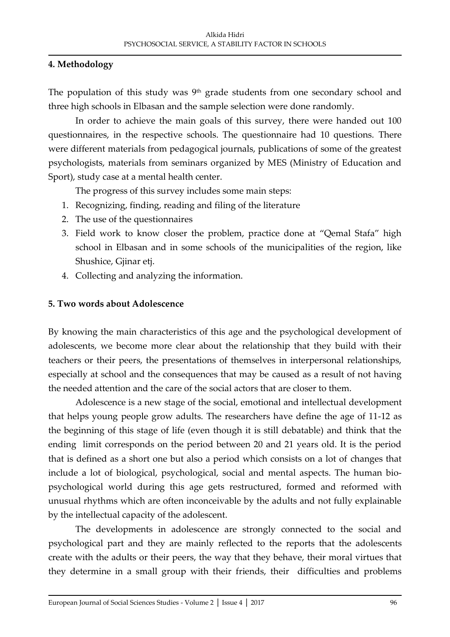### **4. Methodology**

The population of this study was  $9<sup>th</sup>$  grade students from one secondary school and three high schools in Elbasan and the sample selection were done randomly.

In order to achieve the main goals of this survey, there were handed out 100 questionnaires, in the respective schools. The questionnaire had 10 questions. There were different materials from pedagogical journals, publications of some of the greatest psychologists, materials from seminars organized by MES (Ministry of Education and Sport), study case at a mental health center.

The progress of this survey includes some main steps:

- 1. Recognizing, finding, reading and filing of the literature
- 2. The use of the questionnaires
- 3. Field work to know closer the problem, practice done at "Qemal Stafa" high school in Elbasan and in some schools of the municipalities of the region, like Shushice, Gjinar etj.
- 4. Collecting and analyzing the information.

### **5. Two words about Adolescence**

By knowing the main characteristics of this age and the psychological development of adolescents, we become more clear about the relationship that they build with their teachers or their peers, the presentations of themselves in interpersonal relationships, especially at school and the consequences that may be caused as a result of not having the needed attention and the care of the social actors that are closer to them.

Adolescence is a new stage of the social, emotional and intellectual development that helps young people grow adults. The researchers have define the age of 11-12 as the beginning of this stage of life (even though it is still debatable) and think that the ending limit corresponds on the period between 20 and 21 years old. It is the period that is defined as a short one but also a period which consists on a lot of changes that include a lot of biological, psychological, social and mental aspects. The human biopsychological world during this age gets restructured, formed and reformed with unusual rhythms which are often inconceivable by the adults and not fully explainable by the intellectual capacity of the adolescent.

The developments in adolescence are strongly connected to the social and psychological part and they are mainly reflected to the reports that the adolescents create with the adults or their peers, the way that they behave, their moral virtues that they determine in a small group with their friends, their difficulties and problems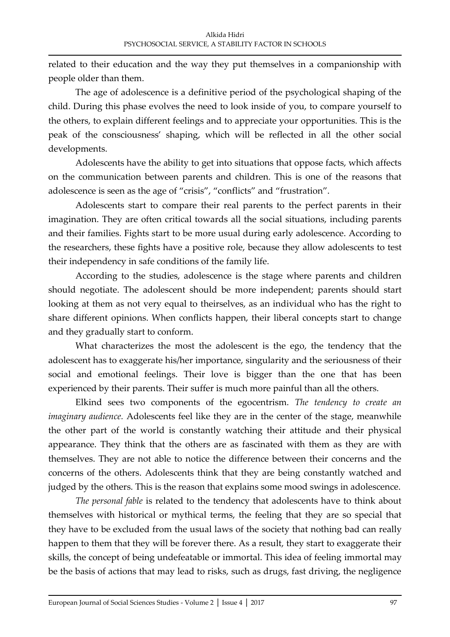related to their education and the way they put themselves in a companionship with people older than them.

The age of adolescence is a definitive period of the psychological shaping of the child. During this phase evolves the need to look inside of you, to compare yourself to the others, to explain different feelings and to appreciate your opportunities. This is the peak of the consciousness' shaping, which will be reflected in all the other social developments.

Adolescents have the ability to get into situations that oppose facts, which affects on the communication between parents and children. This is one of the reasons that adolescence is seen as the age of "crisis", "conflicts" and "frustration".

Adolescents start to compare their real parents to the perfect parents in their imagination. They are often critical towards all the social situations, including parents and their families. Fights start to be more usual during early adolescence. According to the researchers, these fights have a positive role, because they allow adolescents to test their independency in safe conditions of the family life.

According to the studies, adolescence is the stage where parents and children should negotiate. The adolescent should be more independent; parents should start looking at them as not very equal to theirselves, as an individual who has the right to share different opinions. When conflicts happen, their liberal concepts start to change and they gradually start to conform.

What characterizes the most the adolescent is the ego, the tendency that the adolescent has to exaggerate his/her importance, singularity and the seriousness of their social and emotional feelings. Their love is bigger than the one that has been experienced by their parents. Their suffer is much more painful than all the others.

Elkind sees two components of the egocentrism. *The tendency to create an imaginary audience.* Adolescents feel like they are in the center of the stage, meanwhile the other part of the world is constantly watching their attitude and their physical appearance. They think that the others are as fascinated with them as they are with themselves. They are not able to notice the difference between their concerns and the concerns of the others. Adolescents think that they are being constantly watched and judged by the others. This is the reason that explains some mood swings in adolescence.

*The personal fable* is related to the tendency that adolescents have to think about themselves with historical or mythical terms, the feeling that they are so special that they have to be excluded from the usual laws of the society that nothing bad can really happen to them that they will be forever there. As a result, they start to exaggerate their skills, the concept of being undefeatable or immortal. This idea of feeling immortal may be the basis of actions that may lead to risks, such as drugs, fast driving, the negligence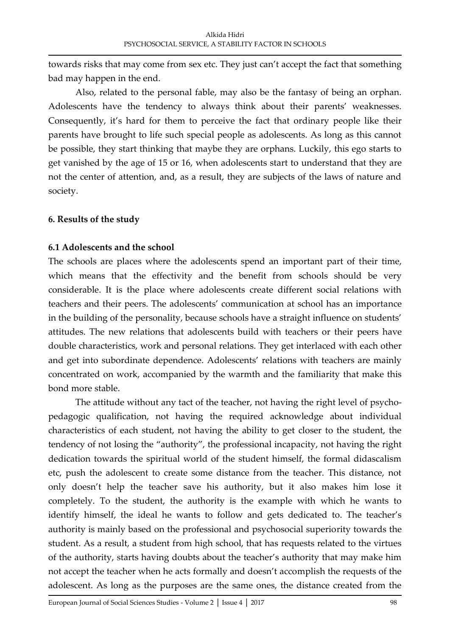towards risks that may come from sex etc. They just can't accept the fact that something bad may happen in the end.

Also, related to the personal fable, may also be the fantasy of being an orphan. Adolescents have the tendency to always think about their parents' weaknesses. Consequently, it's hard for them to perceive the fact that ordinary people like their parents have brought to life such special people as adolescents. As long as this cannot be possible, they start thinking that maybe they are orphans. Luckily, this ego starts to get vanished by the age of 15 or 16, when adolescents start to understand that they are not the center of attention, and, as a result, they are subjects of the laws of nature and society.

### **6. Results of the study**

### **6.1 Adolescents and the school**

The schools are places where the adolescents spend an important part of their time, which means that the effectivity and the benefit from schools should be very considerable. It is the place where adolescents create different social relations with teachers and their peers. The adolescents' communication at school has an importance in the building of the personality, because schools have a straight influence on students' attitudes. The new relations that adolescents build with teachers or their peers have double characteristics, work and personal relations. They get interlaced with each other and get into subordinate dependence. Adolescents' relations with teachers are mainly concentrated on work, accompanied by the warmth and the familiarity that make this bond more stable.

The attitude without any tact of the teacher, not having the right level of psychopedagogic qualification, not having the required acknowledge about individual characteristics of each student, not having the ability to get closer to the student, the tendency of not losing the "authority", the professional incapacity, not having the right dedication towards the spiritual world of the student himself, the formal didascalism etc, push the adolescent to create some distance from the teacher. This distance, not only doesn't help the teacher save his authority, but it also makes him lose it completely. To the student, the authority is the example with which he wants to identify himself, the ideal he wants to follow and gets dedicated to. The teacher's authority is mainly based on the professional and psychosocial superiority towards the student. As a result, a student from high school, that has requests related to the virtues of the authority, starts having doubts about the teacher's authority that may make him not accept the teacher when he acts formally and doesn't accomplish the requests of the adolescent. As long as the purposes are the same ones, the distance created from the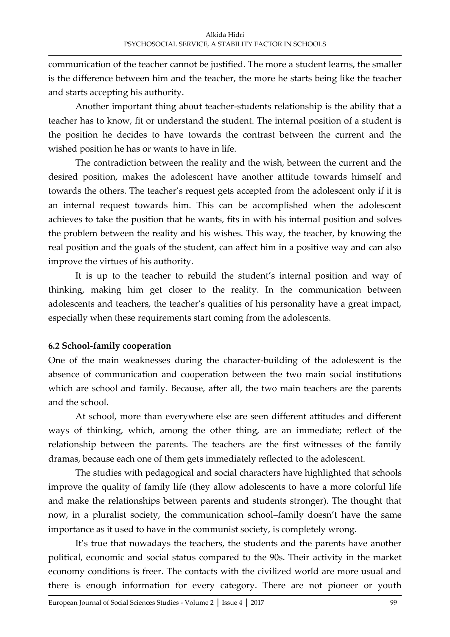communication of the teacher cannot be justified. The more a student learns, the smaller is the difference between him and the teacher, the more he starts being like the teacher and starts accepting his authority.

Another important thing about teacher-students relationship is the ability that a teacher has to know, fit or understand the student. The internal position of a student is the position he decides to have towards the contrast between the current and the wished position he has or wants to have in life.

The contradiction between the reality and the wish, between the current and the desired position, makes the adolescent have another attitude towards himself and towards the others. The teacher's request gets accepted from the adolescent only if it is an internal request towards him. This can be accomplished when the adolescent achieves to take the position that he wants, fits in with his internal position and solves the problem between the reality and his wishes. This way, the teacher, by knowing the real position and the goals of the student, can affect him in a positive way and can also improve the virtues of his authority.

It is up to the teacher to rebuild the student's internal position and way of thinking, making him get closer to the reality. In the communication between adolescents and teachers, the teacher's qualities of his personality have a great impact, especially when these requirements start coming from the adolescents.

## **6.2 School-family cooperation**

One of the main weaknesses during the character-building of the adolescent is the absence of communication and cooperation between the two main social institutions which are school and family. Because, after all, the two main teachers are the parents and the school.

At school, more than everywhere else are seen different attitudes and different ways of thinking, which, among the other thing, are an immediate; reflect of the relationship between the parents. The teachers are the first witnesses of the family dramas, because each one of them gets immediately reflected to the adolescent.

The studies with pedagogical and social characters have highlighted that schools improve the quality of family life (they allow adolescents to have a more colorful life and make the relationships between parents and students stronger). The thought that now, in a pluralist society, the communication school–family doesn't have the same importance as it used to have in the communist society, is completely wrong.

It's true that nowadays the teachers, the students and the parents have another political, economic and social status compared to the 90s. Their activity in the market economy conditions is freer. The contacts with the civilized world are more usual and there is enough information for every category. There are not pioneer or youth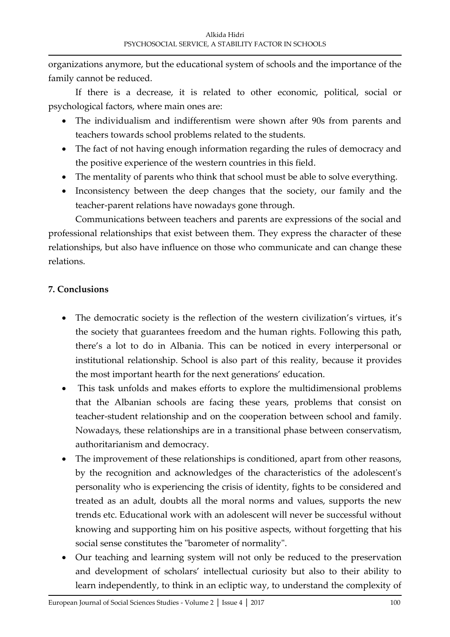organizations anymore, but the educational system of schools and the importance of the family cannot be reduced.

If there is a decrease, it is related to other economic, political, social or psychological factors, where main ones are:

- The individualism and indifferentism were shown after 90s from parents and teachers towards school problems related to the students.
- The fact of not having enough information regarding the rules of democracy and the positive experience of the western countries in this field.
- The mentality of parents who think that school must be able to solve everything.
- Inconsistency between the deep changes that the society, our family and the teacher-parent relations have nowadays gone through.

Communications between teachers and parents are expressions of the social and professional relationships that exist between them. They express the character of these relationships, but also have influence on those who communicate and can change these relations.

## **7. Conclusions**

- The democratic society is the reflection of the western civilization's virtues, it's the society that guarantees freedom and the human rights. Following this path, there's a lot to do in Albania. This can be noticed in every interpersonal or institutional relationship. School is also part of this reality, because it provides the most important hearth for the next generations' education.
- This task unfolds and makes efforts to explore the multidimensional problems that the Albanian schools are facing these years, problems that consist on teacher-student relationship and on the cooperation between school and family. Nowadays, these relationships are in a transitional phase between conservatism, authoritarianism and democracy.
- The improvement of these relationships is conditioned, apart from other reasons, by the recognition and acknowledges of the characteristics of the adolescent's personality who is experiencing the crisis of identity, fights to be considered and treated as an adult, doubts all the moral norms and values, supports the new trends etc. Educational work with an adolescent will never be successful without knowing and supporting him on his positive aspects, without forgetting that his social sense constitutes the "barometer of normality".
- Our teaching and learning system will not only be reduced to the preservation and development of scholars' intellectual curiosity but also to their ability to learn independently, to think in an ecliptic way, to understand the complexity of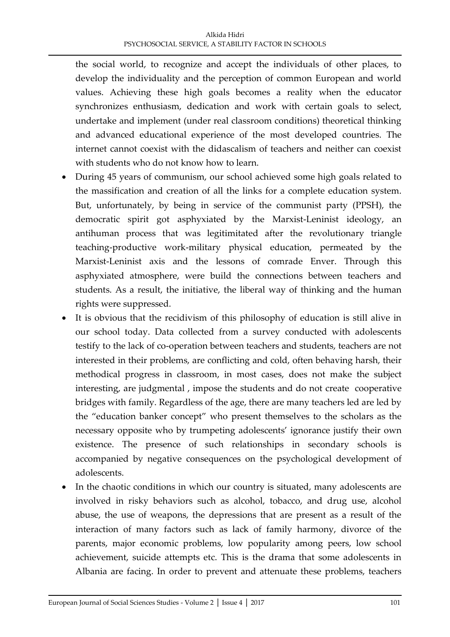the social world, to recognize and accept the individuals of other places, to develop the individuality and the perception of common European and world values. Achieving these high goals becomes a reality when the educator synchronizes enthusiasm, dedication and work with certain goals to select, undertake and implement (under real classroom conditions) theoretical thinking and advanced educational experience of the most developed countries. The internet cannot coexist with the didascalism of teachers and neither can coexist with students who do not know how to learn.

- During 45 years of communism, our school achieved some high goals related to the massification and creation of all the links for a complete education system. But, unfortunately, by being in service of the communist party (PPSH), the democratic spirit got asphyxiated by the Marxist-Leninist ideology, an antihuman process that was legitimitated after the revolutionary triangle teaching-productive work-military physical education, permeated by the Marxist-Leninist axis and the lessons of comrade Enver. Through this asphyxiated atmosphere, were build the connections between teachers and students. As a result, the initiative, the liberal way of thinking and the human rights were suppressed.
- It is obvious that the recidivism of this philosophy of education is still alive in our school today. Data collected from a survey conducted with adolescents testify to the lack of co-operation between teachers and students, teachers are not interested in their problems, are conflicting and cold, often behaving harsh, their methodical progress in classroom, in most cases, does not make the subject interesting, are judgmental , impose the students and do not create cooperative bridges with family. Regardless of the age, there are many teachers led are led by the "education banker concept" who present themselves to the scholars as the necessary opposite who by trumpeting adolescents' ignorance justify their own existence. The presence of such relationships in secondary schools is accompanied by negative consequences on the psychological development of adolescents.
- In the chaotic conditions in which our country is situated, many adolescents are involved in risky behaviors such as alcohol, tobacco, and drug use, alcohol abuse, the use of weapons, the depressions that are present as a result of the interaction of many factors such as lack of family harmony, divorce of the parents, major economic problems, low popularity among peers, low school achievement, suicide attempts etc. This is the drama that some adolescents in Albania are facing. In order to prevent and attenuate these problems, teachers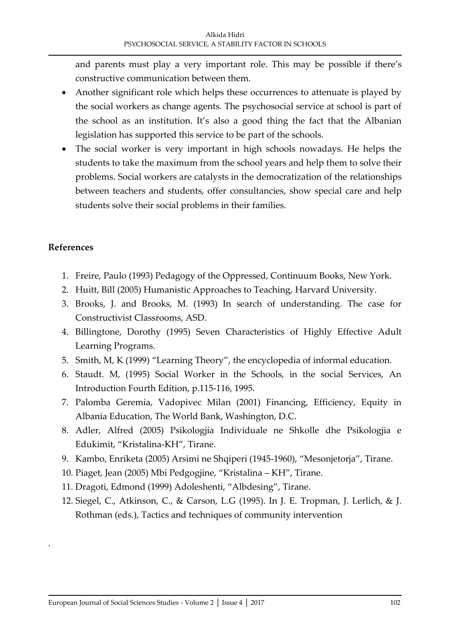and parents must play a very important role. This may be possible if there's constructive communication between them.

- Another significant role which helps these occurrences to attenuate is played by the social workers as change agents. The psychosocial service at school is part of the school as an institution. It's also a good thing the fact that the Albanian legislation has supported this service to be part of the schools.
- The social worker is very important in high schools nowadays. He helps the students to take the maximum from the school years and help them to solve their problems. Social workers are catalysts in the democratization of the relationships between teachers and students, offer consultancies, show special care and help students solve their social problems in their families.

## **References**

.

- 1. Freire, Paulo (1993) Pedagogy of the Oppressed, Continuum Books, New York.
- 2. Huitt, Bill (2005) Humanistic Approaches to Teaching, Harvard University.
- 3. Brooks, J. and Brooks, M. (1993) In search of understanding. The case for Constructivist Classrooms, ASD.
- 4. Billingtone, Dorothy (1995) Seven Characteristics of Highly Effective Adult Learning Programs.
- 5. Smith, M, K (1999) "Learning Theory", the encyclopedia of informal education.
- 6. Staudt. M, (1995) Social Worker in the Schools, in the social Services, An Introduction Fourth Edition, p.115-116, 1995.
- 7. Palomba Geremia, Vadopivec Milan (2001) Financing, Efficiency, Equity in Albania Education, The World Bank, Washington, D.C.
- 8. Adler, Alfred (2005) Psikologjia Individuale ne Shkolle dhe Psikologjia e Edukimit, "Kristalina-KH", Tirane.
- 9. Kambo, Enriketa (2005) Arsimi ne Shqiperi (1945-1960), "Mesonjetorja", Tirane.
- 10. Piaget, Jean (2005) Mbi Pedgogjine, "Kristalina KH", Tirane.
- 11. Dragoti, Edmond (1999) Adoleshenti, "Albdesing", Tirane.
- 12. Siegel, C., Atkinson, C., & Carson, L.G (1995). In J. E. Tropman, J. Lerlich, & J. Rothman (eds.), Tactics and techniques of community intervention